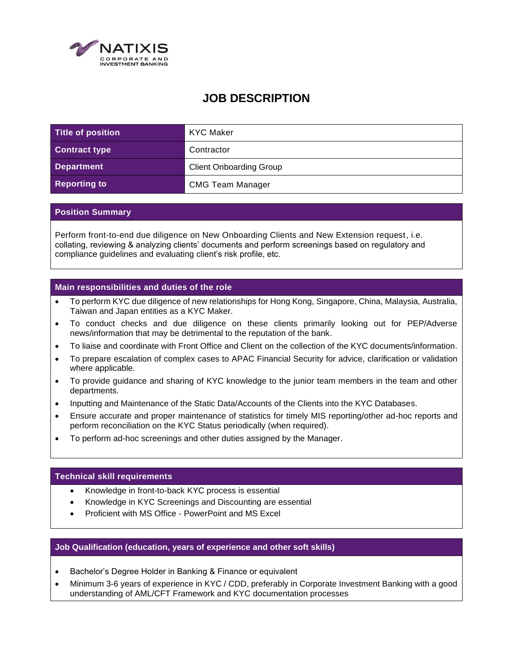

# **JOB DESCRIPTION**

| Title of position    | <b>KYC Maker</b>               |
|----------------------|--------------------------------|
| <b>Contract type</b> | Contractor                     |
| <b>Department</b>    | <b>Client Onboarding Group</b> |
| <b>Reporting to</b>  | <b>CMG Team Manager</b>        |

## **Position Summary**

Perform front-to-end due diligence on New Onboarding Clients and New Extension request, i.e. collating, reviewing & analyzing clients' documents and perform screenings based on regulatory and compliance guidelines and evaluating client's risk profile, etc.

## **Main responsibilities and duties of the role**

- To perform KYC due diligence of new relationships for Hong Kong, Singapore, China, Malaysia, Australia, Taiwan and Japan entities as a KYC Maker.
- To conduct checks and due diligence on these clients primarily looking out for PEP/Adverse news/information that may be detrimental to the reputation of the bank.
- To liaise and coordinate with Front Office and Client on the collection of the KYC documents/information.
- To prepare escalation of complex cases to APAC Financial Security for advice, clarification or validation where applicable.
- To provide guidance and sharing of KYC knowledge to the junior team members in the team and other departments.
- Inputting and Maintenance of the Static Data/Accounts of the Clients into the KYC Databases.
- Ensure accurate and proper maintenance of statistics for timely MIS reporting/other ad-hoc reports and perform reconciliation on the KYC Status periodically (when required).
- To perform ad-hoc screenings and other duties assigned by the Manager.

#### **Technical skill requirements**

- Knowledge in front-to-back KYC process is essential
- Knowledge in KYC Screenings and Discounting are essential
- Proficient with MS Office PowerPoint and MS Excel

#### **Job Qualification (education, years of experience and other soft skills)**

- Bachelor's Degree Holder in Banking & Finance or equivalent
- Minimum 3-6 years of experience in KYC / CDD, preferably in Corporate Investment Banking with a good understanding of AML/CFT Framework and KYC documentation processes